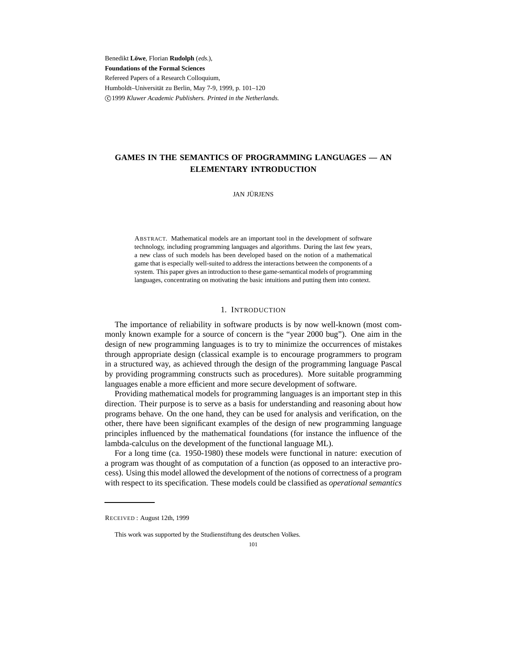Benedikt Löwe, Florian Rudolph (eds.), **Foundations of the Formal Sciences** Refereed Papers of a Research Colloquium, Humboldt–Universität zu Berlin, May 7-9, 1999, p. 101–120 c 1999 *Kluwer Academic Publishers. Printed in the Netherlands.*

# **GAMES IN THE SEMANTICS OF PROGRAMMING LANGUAGES — AN ELEMENTARY INTRODUCTION**

JAN JÜRJENS

ABSTRACT. Mathematical models are an important tool in the development of software technology, including programming languages and algorithms. During the last few years, a new class of such models has been developed based on the notion of a mathematical game that is especially well-suited to address the interactions between the components of a system. This paper gives an introduction to these game-semantical models of programming languages, concentrating on motivating the basic intuitions and putting them into context.

# 1. INTRODUCTION

The importance of reliability in software products is by now well-known (most commonly known example for a source of concern is the "year 2000 bug"). One aim in the design of new programming languages is to try to minimize the occurrences of mistakes through appropriate design (classical example is to encourage programmers to program in a structured way, as achieved through the design of the programming language Pascal by providing programming constructs such as procedures). More suitable programming languages enable a more efficient and more secure development of software.

Providing mathematical models for programming languages is an important step in this direction. Their purpose is to serve as a basis for understanding and reasoning about how programs behave. On the one hand, they can be used for analysis and verification, on the other, there have been significant examples of the design of new programming language principles influenced by the mathematical foundations (for instance the influence of the lambda-calculus on the development of the functional language ML).

For a long time (ca. 1950-1980) these models were functional in nature: execution of a program was thought of as computation of a function (as opposed to an interactive process). Using this model allowed the development of the notions of correctness of a program with respect to its specification. These models could be classified as *operational semantics*

RECEIVED : August 12th, 1999

This work was supported by the Studienstiftung des deutschen Volkes.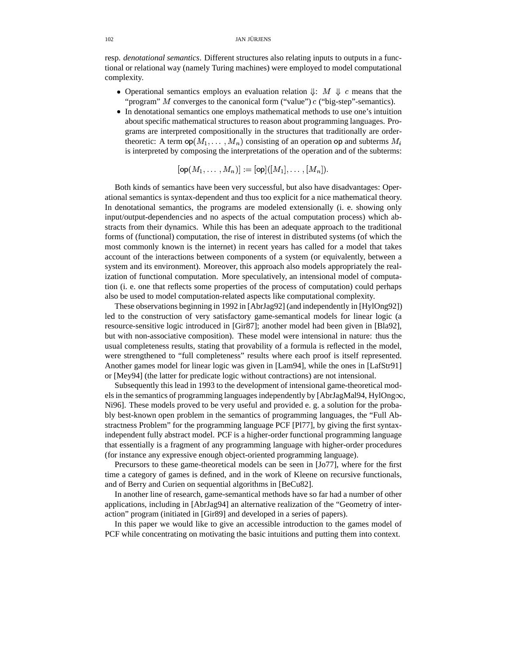resp. *denotational semantics*. Different structures also relating inputs to outputs in a functional or relational way (namely Turing machines) were employed to model computational complexity.

- Operational semantics employs an evaluation relation  $\Downarrow$ :  $M \Downarrow c$  means that the "program" M converges to the canonical form ("value")  $c$  ("big-step"-semantics).
- In denotational semantics one employs mathematical methods to use one's intuition about specific mathematical structures to reason about programming languages. Programs are interpreted compositionally in the structures that traditionally are ordertheoretic: A term  $op(M_1, \ldots, M_n)$  consisting of an operation op and subterms  $M_i$ is interpreted by composing the interpretations of the operation and of the subterms:

$$
[\text{op}(M_1, \ldots, M_n)] := [\text{op}]([M_1], \ldots, [M_n]).
$$

Both kinds of semantics have been very successful, but also have disadvantages: Operational semantics is syntax-dependent and thus too explicit for a nice mathematical theory. In denotational semantics, the programs are modeled extensionally (i. e. showing only input/output-dependencies and no aspects of the actual computation process) which abstracts from their dynamics. While this has been an adequate approach to the traditional forms of (functional) computation, the rise of interest in distributed systems (of which the most commonly known is the internet) in recent years has called for a model that takes account of the interactions between components of a system (or equivalently, between a system and its environment). Moreover, this approach also models appropriately the realization of functional computation. More speculatively, an intensional model of computation (i. e. one that reflects some properties of the process of computation) could perhaps also be used to model computation-related aspects like computational complexity.

These observations beginning in 1992 in [AbrJag92] (and independently in [HylOng92]) led to the construction of very satisfactory game-semantical models for linear logic (a resource-sensitive logic introduced in [Gir87]; another model had been given in [Bla92], but with non-associative composition). These model were intensional in nature: thus the usual completeness results, stating that provability of a formula is reflected in the model, were strengthened to "full completeness" results where each proof is itself represented. Another games model for linear logic was given in [Lam94], while the ones in [LafStr91] or [Mey94] (the latter for predicate logic without contractions) are not intensional.

Subsequently this lead in 1993 to the development of intensional game-theoretical models in the semantics of programming languages independently by [AbrJagMal94, HylOng $\infty$ , Ni96]. These models proved to be very useful and provided e. g. a solution for the probably best-known open problem in the semantics of programming languages, the "Full Abstractness Problem" for the programming language PCF [Pl77], by giving the first syntaxindependent fully abstract model. PCF is a higher-order functional programming language that essentially is a fragment of any programming language with higher-order procedures (for instance any expressive enough object-oriented programming language).

Precursors to these game-theoretical models can be seen in [Jo77], where for the first time a category of games is defined, and in the work of Kleene on recursive functionals, and of Berry and Curien on sequential algorithms in [BeCu82].

In another line of research, game-semantical methods have so far had a number of other applications, including in [AbrJag94] an alternative realization of the "Geometry of interaction" program (initiated in [Gir89] and developed in a series of papers).

In this paper we would like to give an accessible introduction to the games model of PCF while concentrating on motivating the basic intuitions and putting them into context.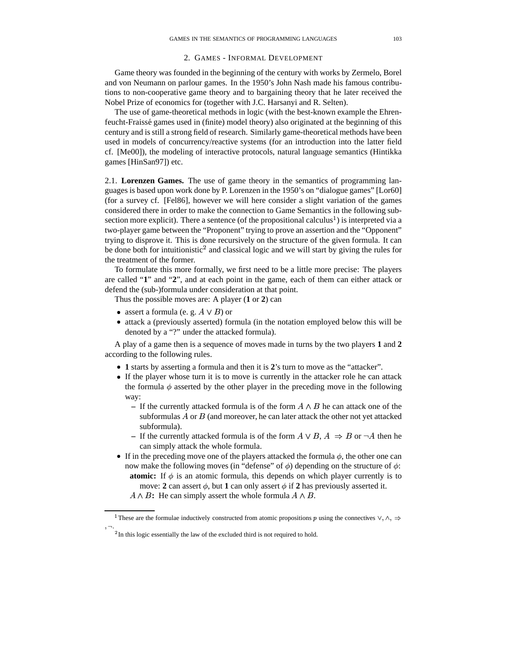#### 2. GAMES - INFORMAL DEVELOPMENT

Game theory was founded in the beginning of the century with works by Zermelo, Borel and von Neumann on parlour games. In the 1950's John Nash made his famous contributions to non-cooperative game theory and to bargaining theory that he later received the Nobel Prize of economics for (together with J.C. Harsanyi and R. Selten).

The use of game-theoretical methods in logic (with the best-known example the Ehrenfeucht-Fraissé games used in (finite) model theory) also originated at the beginning of this century and isstill a strong field of research. Similarly game-theoretical methods have been used in models of concurrency/reactive systems (for an introduction into the latter field cf. [Me00]), the modeling of interactive protocols, natural language semantics (Hintikka games [HinSan97]) etc.

2.1. **Lorenzen Games.** The use of game theory in the semantics of programming languages is based upon work done by P. Lorenzen in the 1950's on "dialogue games" [Lor60] (for a survey cf. [Fel86], however we will here consider a slight variation of the games considered there in order to make the connection to Game Semantics in the following subsection more explicit). There a sentence (of the propositional calculus<sup>1</sup>) is interpreted via a two-player game between the "Proponent" trying to prove an assertion and the "Opponent" trying to disprove it. This is done recursively on the structure of the given formula. It can be done both for intuitionistic<sup>2</sup> and classical logic and we will start by giving the rules for the treatment of the former.

To formulate this more formally, we first need to be a little more precise: The players are called "**1**" and "**2**", and at each point in the game, each of them can either attack or defend the (sub-)formula under consideration at that point.

Thus the possible moves are: A player (**1** or **2**) can

- assert a formula (e. g.  $A \vee B$ ) or
- attack a (previously asserted) formula (in the notation employed below this will be denoted by a "?" under the attacked formula).

A play of a game then is a sequence of moves made in turns by the two players **1** and **2** according to the following rules.

- **1** starts by asserting a formula and then it is **2**'s turn to move as the "attacker".
- If the player whose turn it is to move is currently in the attacker role he can attack the formula  $\phi$  asserted by the other player in the preceding move in the following way:
	- If the currently attacked formula is of the form  $A \wedge B$  he can attack one of the subformulas  $A$  or  $B$  (and moreover, he can later attack the other not yet attacked subformula).
	- **–** If the currently attacked formula is of the form  $A \lor B$ ,  $A \Rightarrow B$  or  $\neg A$  then he can simply attack the whole formula.
- If in the preceding move one of the players attacked the formula  $\phi$ , the other one can now make the following moves (in "defense" of  $\phi$ ) depending on the structure of  $\phi$ : **atomic:** If  $\phi$  is an atomic formula, this depends on which player currently is to move: 2 can assert  $\phi$ , but 1 can only assert  $\phi$  if 2 has previously asserted it.
	- $A \wedge B$ : He can simply assert the whole formula  $A \wedge B$ .

 $, \neg.$ 

These are the formulae inductively constructed from atomic propositions p using the connectives  $\vee, \wedge, \Rightarrow$ 

 $2$ In this logic essentially the law of the excluded third is not required to hold.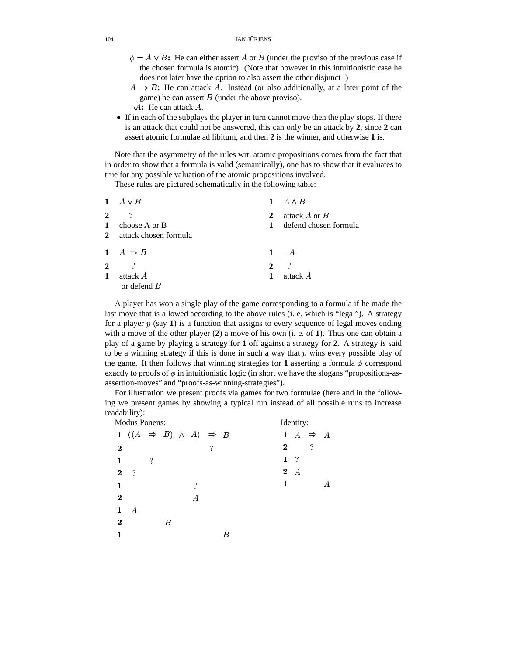- $\phi = A \vee B$ : He can either assert A or B (under the proviso of the previous case if the chosen formula is atomic). (Note that however in this intuitionistic case he does not later have the option to also assert the other disjunct !)
- $A \Rightarrow B$ : He can attack A. Instead (or also additionally, at a later point of the game) he can assert  $B$  (under the above proviso).
- $\neg A$ : He can attack A.
- If in each of the subplays the player in turn cannot move then the play stops. If there is an attack that could not be answered, this can only be an attack by **2**, since **2** can assert atomic formulae ad libitum, and then **2** is the winner, and otherwise **1** is.

Note that the asymmetry of the rules wrt. atomic propositions comes from the fact that in order to show that a formula is valid (semantically), one has to show that it evaluates to true for any possible valuation of the atomic propositions involved.

These rules are pictured schematically in the following table:

|                              | 1 $A \vee B$                                               | $\mathbf{1}$      | $A \wedge B$                           |
|------------------------------|------------------------------------------------------------|-------------------|----------------------------------------|
| $\mathbf{2}$<br>$\mathbf{1}$ | $\overline{2}$<br>choose A or B<br>2 attack chosen formula | 2<br>$\mathbf{1}$ | attack A or B<br>defend chosen formula |
|                              | 1 $A \Rightarrow B$                                        |                   | $1 \quad \neg A$                       |
| $\mathbf{2}$                 | $\gamma$                                                   |                   | $2 \t?$                                |
| $\mathbf{1}$                 | attack A<br>or defend $B$                                  | 1                 | attack A                               |

A player has won a single play of the game corresponding to a formula if he made the last move that is allowed according to the above rules (i. e. which is "legal"). A strategy for a player  $p$  (say 1) is a function that assigns to every sequence of legal moves ending with a move of the other player (**2**) a move of his own (i. e. of **1**). Thus one can obtain a play of a game by playing a strategy for **1** off against a strategy for **2**. A strategy is said to be a winning strategy if this is done in such a way that  $p$  wins every possible play of the game. It then follows that winning strategies for 1 asserting a formula  $\phi$  correspond exactly to proofs of  $\phi$  in intuitionistic logic (in short we have the slogans "propositions-asassertion-moves" and "proofs-as-winning-strategies").

For illustration we present proofs via games for two formulae (here and in the following we present games by showing a typical run instead of all possible runs to increase readability):

|                  | <b>Modus Ponens:</b>                          |                    |   |  |   |                    |   | Identity:                   |
|------------------|-----------------------------------------------|--------------------|---|--|---|--------------------|---|-----------------------------|
|                  | 1 $((A \Rightarrow B) \land A) \Rightarrow B$ |                    |   |  |   |                    |   | $1 \quad A \Rightarrow A$   |
| $\boldsymbol{2}$ |                                               |                    |   |  |   | $\overline{\cdot}$ |   | $\boldsymbol{2}$<br>$\cdot$ |
| 1                |                                               | $\overline{\cdot}$ |   |  |   |                    |   | $1 \t?$                     |
| $\mathbf 2$      | $\cdot$                                       |                    |   |  |   |                    |   | 2A                          |
| 1                |                                               |                    |   |  | ? |                    |   | 1<br>А                      |
| $\bf{2}$         |                                               |                    |   |  | А |                    |   |                             |
| 1                | А                                             |                    |   |  |   |                    |   |                             |
| $\bf{2}$         |                                               |                    | B |  |   |                    |   |                             |
|                  |                                               |                    |   |  |   |                    | B |                             |
|                  |                                               |                    |   |  |   |                    |   |                             |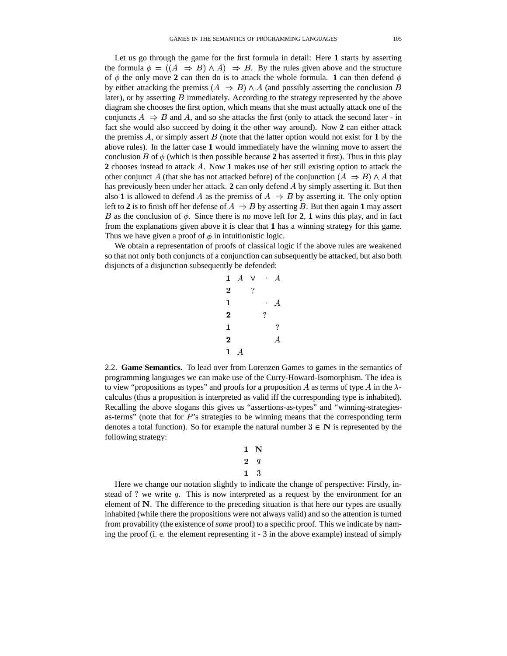Let us go through the game for the first formula in detail: Here **1** starts by asserting the formula  $\phi = ((A \Rightarrow B) \land A) \Rightarrow B$ . By the rules given above and the structure of  $\phi$  the only move 2 can then do is to attack the whole formula. 1 can then defend  $\phi$ by either attacking the premiss  $(A \Rightarrow B) \wedge A$  (and possibly asserting the conclusion B later), or by asserting  $B$  immediately. According to the strategy represented by the above diagram she chooses the first option, which means that she must actually attack one of the conjuncts  $A \Rightarrow B$  and A, and so she attacks the first (only to attack the second later - in fact she would also succeed by doing it the other way around). Now **2** can either attack the premiss  $\vec{A}$ , or simply assert  $\vec{B}$  (note that the latter option would not exist for **1** by the above rules). In the latter case **1** would immediately have the winning move to assert the conclusion B of  $\phi$  (which is then possible because 2 has asserted it first). Thus in this play **2** chooses instead to attack A. Now 1 makes use of her still existing option to attack the other conjunct A (that she has not attacked before) of the conjunction  $(A \Rightarrow B) \land A$  that has previously been under her attack. 2 can only defend A by simply asserting it. But then also 1 is allowed to defend A as the premiss of  $A \Rightarrow B$  by asserting it. The only option left to 2 is to finish off her defense of  $A \Rightarrow B$  by asserting B. But then again 1 may assert B as the conclusion of  $\phi$ . Since there is no move left for 2, 1 wins this play, and in fact from the explanations given above it is clear that **1** has a winning strategy for this game. Thus we have given a proof of  $\phi$  in intuitionistic logic.

We obtain a representation of proofs of classical logic if the above rules are weakened so that not only both conjuncts of a conjunction can subsequently be attacked, but also both disjuncts of a disjunction subsequently be defended:

$$
\begin{array}{ccccccccc}\n1 & A & \vee & \neg & A \\
2 & & ? & & \\
1 & & & \neg & A \\
2 & & & ? & & \\
1 & & & ? & & \\
2 & & & A & & \\
1 & A & & & & \n\end{array}
$$

2.2. **Game Semantics.** To lead over from Lorenzen Games to games in the semantics of programming languages we can make use of the Curry-Howard-Isomorphism. The idea is to view "propositions as types" and proofs for a proposition A as terms of type A in the  $\lambda$ calculus (thus a proposition is interpreted as valid iff the corresponding type is inhabited). Recalling the above slogans this gives us "assertions-as-types" and "winning-strategiesas-terms" (note that for  $\vec{P}$ 's strategies to be winning means that the corresponding term denotes a total function). So for example the natural number  $3 \in \mathbb{N}$  is represented by the following strategy:

|     | $1\,N$ |  |
|-----|--------|--|
|     | 2q     |  |
| 1 3 |        |  |

Here we change our notation slightly to indicate the change of perspective: Firstly, instead of ? we write  $q$ . This is now interpreted as a request by the environment for an element of N. The difference to the preceding situation is that here our types are usually inhabited (while there the propositions were not always valid) and so the attention is turned from provability (the existence of *some* proof) to a specific proof. This we indicate by naming the proof (i. e. the element representing it - 3 in the above example) instead of simply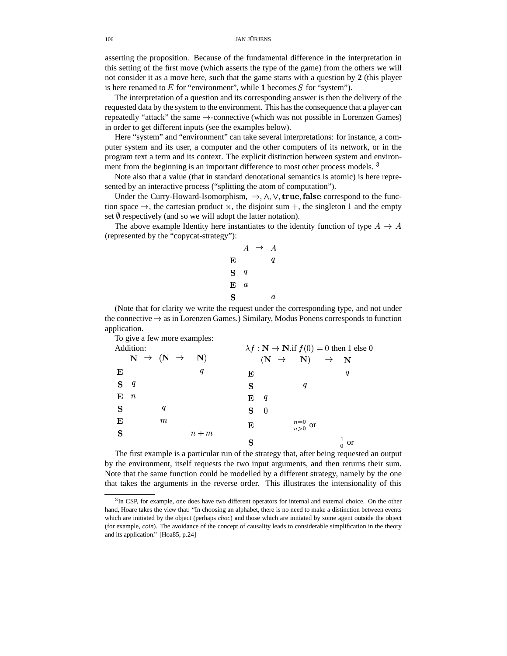asserting the proposition. Because of the fundamental difference in the interpretation in this setting of the first move (which asserts the type of the game) from the others we will not consider it as a move here, such that the game starts with a question by **2** (this player is here renamed to  $E$  for "environment", while 1 becomes  $S$  for "system").

The interpretation of a question and its corresponding answer is then the delivery of the requested data by the system to the environment. This hasthe consequence that a player can repeatedly "attack" the same  $\rightarrow$ -connective (which was not possible in Lorenzen Games) in order to get different inputs (see the examples below).

Here "system" and "environment" can take several interpretations: for instance, a computer system and its user, a computer and the other computers of its network, or in the program text a term and its context. The explicit distinction between system and environment from the beginning is an important difference to most other process models.  $3$ 

Note also that a value (that in standard denotational semantics is atomic) is here represented by an interactive process ("splitting the atom of computation").

Under the Curry-Howard-Isomorphism,  $\Rightarrow, \wedge, \vee,$  true, false correspond to the function space  $\rightarrow$ , the cartesian product  $\times$ , the disjoint sum +, the singleton 1 and the empty set  $\emptyset$  respectively (and so we will adopt the latter notation).

The above example Identity here instantiates to the identity function of type  $A \rightarrow A$ (represented by the "copycat-strategy"):

$$
\begin{array}{rcl}\nA & \rightarrow & A \\
E & & q \\
S & q & \\
E & a & \\
S & & a\n\end{array}
$$

(Note that for clarity we write the request under the corresponding type, and not under the connective  $\rightarrow$  as in Lorenzen Games.) Similary, Modus Ponens corresponds to function application.

To give a few more examples:

|         | Addition:        |                                   |         |    |     |                                   | $\lambda f : \mathbf{N} \to \mathbf{N}$ if $f(0) = 0$ then 1 else 0 |  |
|---------|------------------|-----------------------------------|---------|----|-----|-----------------------------------|---------------------------------------------------------------------|--|
|         |                  | $N \rightarrow (N \rightarrow N)$ |         |    |     | $(N \rightarrow N) \rightarrow N$ |                                                                     |  |
| E       |                  |                                   | q       | Е  |     |                                   | q                                                                   |  |
| $S \ q$ |                  |                                   |         | S  |     | q                                 |                                                                     |  |
| E       | $\boldsymbol{n}$ |                                   |         | Е  | q   |                                   |                                                                     |  |
| S       |                  | q                                 |         | S. | - 0 |                                   |                                                                     |  |
| E       |                  | $\,m$                             |         | E  |     | $\frac{n=0}{n>0}$ or              |                                                                     |  |
| S       |                  |                                   | $n + m$ |    |     |                                   |                                                                     |  |
|         |                  |                                   |         | S  |     |                                   | $\frac{1}{0}$ or                                                    |  |

The first example is a particular run of the strategy that, after being requested an output by the environment, itself requests the two input arguments, and then returns their sum. Note that the same function could be modelled by a different strategy, namely by the one that takes the arguments in the reverse order. This illustrates the intensionality of this

<sup>&</sup>lt;sup>3</sup>In CSP, for example, one does have two different operators for internal and external choice. On the other hand, Hoare takes the view that: "In choosing an alphabet, there is no need to make a distinction between events which are initiated by the object (perhaps *choc*) and those which are initiated by some agent outside the object (for example, *coin*). The avoidance of the concept of causality leads to considerable simplification in the theory and its application." [Hoa85, p.24]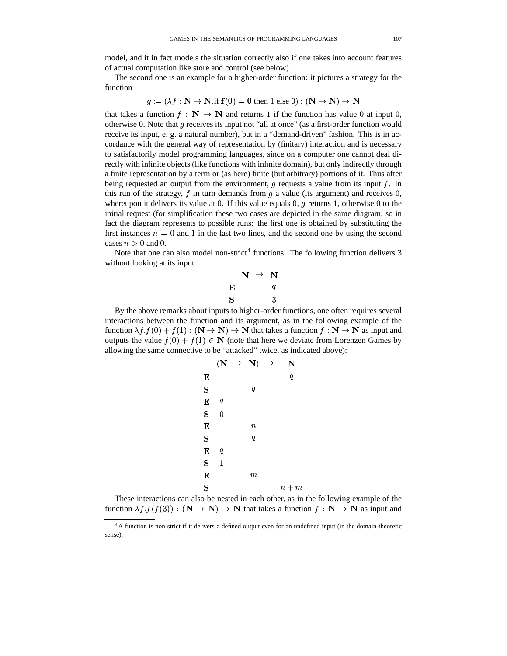model, and it in fact models the situation correctly also if one takes into account features of actual computation like store and control (see below).

The second one is an example for a higher-order function: it pictures a strategy for the function

$$
g := (\lambda f : \mathbf{N} \to \mathbf{N}
$$
.  
if  $\mathbf{f}(\mathbf{0}) = \mathbf{0}$  then 1 else 0) :  $(\mathbf{N} \to \mathbf{N}) \to \mathbf{N}$ 

that takes a function  $f : \mathbb{N} \to \mathbb{N}$  and returns 1 if the function has value 0 at input 0, that takes a function  $f : N \to N$  and returns 1 if the function has value 0 at input 0, otherwise 0. Note that g receives its input not "all at once" (as a first-order function would receive its input, e. g. a natural number), but in a "demand-driven" fashion. This is in accordance with the general way of representation by (finitary) interaction and is necessary to satisfactorily model programming languages, since on a computer one cannot deal directly with infinite objects (like functions with infinite domain), but only indirectly through a finite representation by a term or (as here) finite (but arbitrary) portions of it. Thus after a nnite representation by a term or (as nere) nnite (but arbitrary) portions of it. Thus after<br>being requested an output from the environment, g requests a value from its input f. In being requested an output from the environment,  $g$  requests a value from its input  $f$ . In this run of the strategy,  $f$  in turn demands from  $g$  a value (its argument) and receives 0, this run of the strategy,  $j$  in turn demands from  $g$  a value (its argument) and receives 0, whereupon it delivers its value at 0. If this value equals 0,  $g$  returns 1, otherwise 0 to the initial request (for simplification these two cases are depicted in the same diagram, so in fact the diagram represents to possible runs: the first one is obtained by substituting the first instances  $n = 0$  and 1 in the last two lines, and the second one by using the second cases  $n > 0$  and 0.

Note that one can also model non-strict<sup>4</sup> functions: The following function delivers  $3$ without looking at its input:

$$
\begin{array}{ccc}\nN & \rightarrow & N \\
E & q \\
S & 3\n\end{array}
$$

By the above remarks about inputs to higher-order functions, one often requires several interactions between the function and its argument, as in the following example of the function  $\lambda f$ ,  $f(0) + f(1) : (\mathbf{N} \to \mathbf{N}) \to \mathbf{N}$  that takes a function  $f : \mathbf{N} \to \mathbf{N}$  as input and outputs the value  $f(0) + f(1) \in \mathbb{N}$  (note that here we deviate from Lorenzen Games by allowing the same connective to be "attacked" twice, as indicated above):



These interactions can also be nested in each other, as in the following example of the function  $\lambda f$   $f$   $f$   $f$   $f$   $(3)$   $\colon$   $(N \to N) \to N$  that takes a function  $f : N \to N$  as input and

<sup>&</sup>lt;sup>4</sup>A function is non-strict if it delivers a defined output even for an undefined input (in the domain-theoretic sense).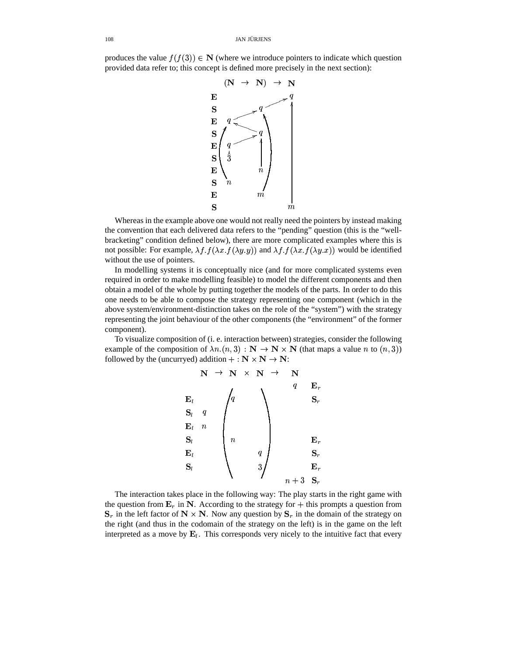produces the value  $f(f(3)) \in N$  (where we introduce pointers to indicate which question provided data refer to; this concept is defined more precisely in the next section):



Whereas in the example above one would not really need the pointers by instead making the convention that each delivered data refers to the "pending" question (this is the "wellbracketing" condition defined below), there are more complicated examples where this is not possible: For example,  $\lambda f.f(\lambda x.f(\lambda y.y))$  and  $\lambda f.f(\lambda x.f(\lambda y.x))$  would be identified without the use of pointers.

In modelling systems it is conceptually nice (and for more complicated systems even required in order to make modelling feasible) to model the different components and then obtain a model of the whole by putting together the models of the parts. In order to do this one needs to be able to compose the strategy representing one component (which in the above system/environment-distinction takes on the role of the "system") with the strategy representing the joint behaviour of the other components (the "environment" of the former component).

To visualize composition of (i. e. interaction between) strategies, consider the following example of the composition of  $\lambda n.(n,3) : \mathbf{N} \to \mathbf{N} \times \mathbf{N}$  (that maps a value n to  $(n,3)$ ) followed by the (uncurryed) addition  $+:\mathbf{N} \times \mathbf{N} \to \mathbf{N}$ :



The interaction takes place in the following way: The play starts in the right game with the question from  $\mathbf{E}_r$  in N. According to the strategy for  $+$  this prompts a question from  $S_r$  in the left factor of  $N \times N$ . Now any question by  $S_r$  in the domain of the strategy on the right (and thus in the codomain of the strategy on the left) is in the game on the left interpreted as a move by  $\mathbf{E}_l$ . This corresponds very nicely to the intuitive fact that every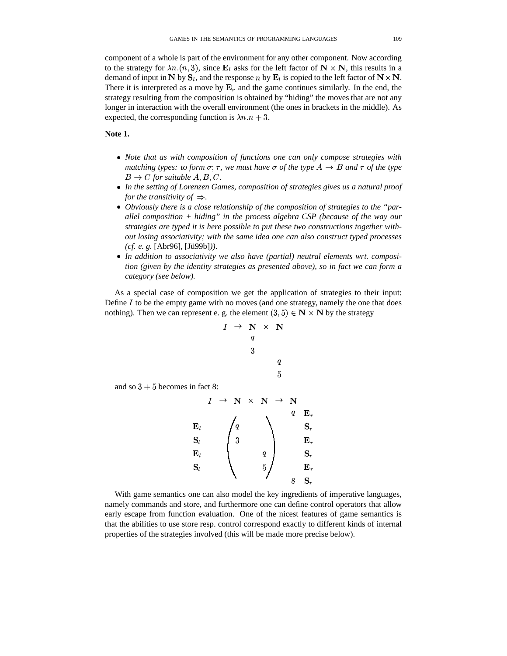component of a whole is part of the environment for any other component. Now according to the strategy for  $\lambda n.(n, 3)$ , since  $\mathbf{E}_l$  asks for the left factor of  $\mathbf{N} \times \mathbf{N}$ , this results in a demand of input in N by  $S_l$ , and the response n by  $E_l$  is copied to the left factor of  $N \times N$ . There it is interpreted as a move by  $\mathbf{E}_r$  and the game continues similarly. In the end, the strategy resulting from the composition is obtained by "hiding" the moves that are not any longer in interaction with the overall environment (the ones in brackets in the middle). As expected, the corresponding function is  $\lambda n.n + 3$ .

**Note 1.**

- *Note that as with composition of functions one can only compose strategies with matching types: to form*  $\sigma$ ;  $\tau$ *, we must have*  $\sigma$  *of the type*  $A \rightarrow B$  *and*  $\tau$  *of the type*  $B \to C$  *for suitable*  $A, B, C$ .
- *In the setting of Lorenzen Games, composition of strategies gives us a natural proof for the transitivity of*  $\Rightarrow$ .
- *Obviously there is a close relationship of the composition of strategies to the "parallel composition + hiding" in the process algebra CSP (because of the way our strategies are typed it is here possible to put these two constructions together without losing associativity; with the same idea one can also construct typed processes (cf. e. g.* [Abr96], [Jü99b]*)*).
- *In addition to associativity we also have (partial) neutral elements wrt. composition (given by the identity strategies as presented above), so in fact we can form a category (see below).*

As a special case of composition we get the application of strategies to their input: Define  $I$  to be the empty game with no moves (and one strategy, namely the one that does nothing). Then we can represent e. g. the element  $(3,5) \in N \times N$  by the strategy

$$
I \rightarrow N \times N
$$
\n
$$
\begin{array}{c}\n q \\
 3 \\
 q \\
 r\n \end{array}
$$

and so  $3 + 5$  becomes in fact 8:

$$
I \rightarrow N \times N \rightarrow N
$$
\n
$$
\mathbf{E}_{l}
$$
\n
$$
\mathbf{E}_{l}
$$
\n
$$
\mathbf{E}_{l}
$$
\n
$$
\mathbf{E}_{l}
$$
\n
$$
\mathbf{E}_{l}
$$
\n
$$
\mathbf{E}_{l}
$$
\n
$$
\mathbf{E}_{r}
$$
\n
$$
\mathbf{E}_{r}
$$
\n
$$
\mathbf{E}_{r}
$$
\n
$$
\mathbf{E}_{r}
$$
\n
$$
\mathbf{E}_{r}
$$
\n
$$
\mathbf{E}_{r}
$$
\n
$$
\mathbf{E}_{r}
$$
\n
$$
\mathbf{E}_{r}
$$
\n
$$
\mathbf{E}_{r}
$$
\n
$$
\mathbf{E}_{r}
$$
\n
$$
\mathbf{E}_{r}
$$
\n
$$
\mathbf{E}_{r}
$$
\n
$$
\mathbf{E}_{r}
$$
\n
$$
\mathbf{E}_{r}
$$

With game semantics one can also model the key ingredients of imperative languages, namely commands and store, and furthermore one can define control operators that allow early escape from function evaluation. One of the nicest features of game semantics is that the abilities to use store resp. control correspond exactly to different kinds of internal properties of the strategies involved (this will be made more precise below).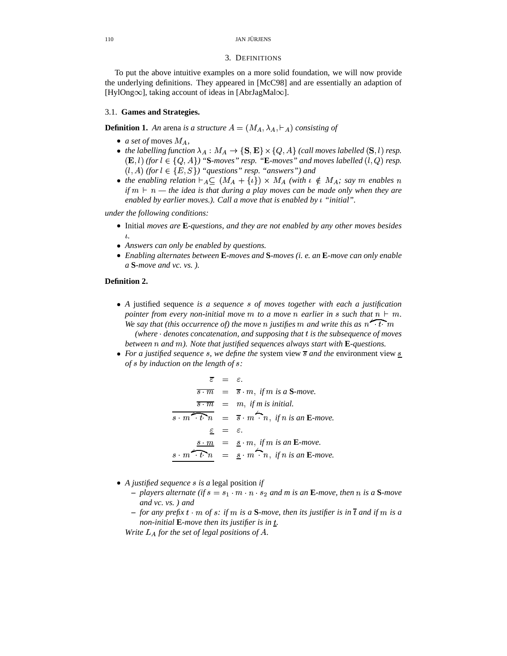### 3. DEFINITIONS

To put the above intuitive examples on a more solid foundation, we will now provide the underlying definitions. They appeared in [McC98] and are essentially an adaption of [HylOng $\infty$ ], taking account of ideas in [AbrJagMal $\infty$ ].

# 3.1. Games and Strategies.

**Definition 1.** An arena is a structure  $A = (M_A, \lambda_A, \vdash_A)$  consisting of

- *a set of moves*  $M_A$ ,
- the labelling function  $\lambda_A : M_A \to \{S, E\} \times \{Q, A\}$  (call moves labelled  $(S, l)$  resp.  $(\mathbf{E}, l)$  (for  $l \in \{Q, A\}$ ) "S-moves" resp. "E-moves" and moves labelled  $(l, Q)$  resp.  $(l, A)$  (for  $l \in \{E, S\}$ ) "questions" resp. "answers") and
- the enabling relation  $\vdash_A \subseteq (M_A + \{ \iota \}) \times M_A$  (with  $\iota \notin M_A$ ; say m enables n if  $m \vdash n$  — the idea is that during a play moves can be made only when they are enabled by earlier moves.). Call a move that is enabled by  $\iota$  "initial".

under the following conditions:

- Initial moves are E-questions, and they are not enabled by any other moves besides  $\iota$ .
- Answers can only be enabled by questions.
- Enabling alternates between E-moves and S-moves (i. e. an E-move can only enable  $a$  S-move and vc. vs. ).

### Definition 2.

- $\bullet$  A justified sequence is a sequence s of moves together with each a justification pointer from every non-initial move m to a move n earlier in s such that  $n \vdash m$ . We say that (this occurrence of) the move n justifies m and write this as  $n$ .  $\widehat{t \cdot n}$ (where  $\cdot$  denotes concatenation, and supposing that t is the subsequence of moves between  $n$  and  $m$ ). Note that justified sequences always start with  $E$ -questions.
- For a justified sequence s, we define the system view  $\overline{s}$  and the environment view  $\underline{s}$ of  $s$  by induction on the length of  $s$ :

$$
\overline{\varepsilon} = \varepsilon.
$$
\n
$$
\overline{s} \cdot \overline{m} = \overline{s} \cdot m, \text{ if } m \text{ is a S-move.}
$$
\n
$$
\overline{s} \cdot \overline{m} = m, \text{ if } m \text{ is initial.}
$$
\n
$$
\overline{s} \cdot \overline{m \cdot t \cdot n} = \overline{s} \cdot \overline{m} \cdot n, \text{ if } n \text{ is an E-move.}
$$
\n
$$
\underline{\varepsilon} = \varepsilon.
$$
\n
$$
\underline{s} \cdot \overline{m} = \underline{s} \cdot m, \text{ if } m \text{ is an E-move.}
$$
\n
$$
s \cdot \overline{m \cdot t \cdot n} = \underline{s} \cdot \overline{m} \cdot n, \text{ if } n \text{ is an E-move.}
$$

- A justified sequence  $s$  is a legal position if
	- players alternate (if  $s = s_1 \cdot m \cdot n \cdot s_2$  and m is an **E**-move, then n is a **S**-move and  $vc$ .  $vs.$ ) and
	- for any prefix t  $m$  of s: if m is a S-move, then its justifier is in  $\overline{t}$  and if m is a non-initial  $E$ -move then its justifier is in  $\underline{t}$ .

Write  $L_A$  for the set of legal positions of A.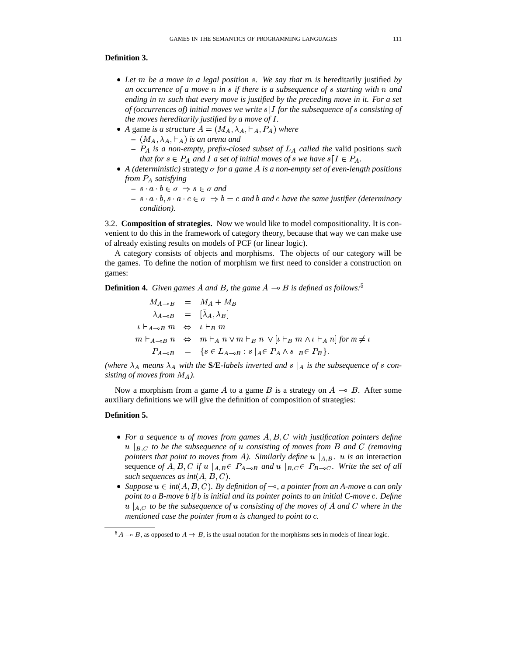## **Definition 3.**

- Let  $m$  be a move in a legal position  $s$ . We say that  $m$  is hereditarily justified by *an occurrence of a move n in s if there is a subsequence of s starting with n and ending in* } *such that every move is justified by the preceding move in it. For a set of* (occurrences of) initial moves we write  $s[I]$  for the subsequence of s consisting of *the moves hereditarily justified by a move of* <sup>¾</sup>*.*
- *A* game *is a structure*  $A = (M_A, \lambda_A, \vdash_A, P_A)$  where
	- $(M_A, \lambda_A, \vdash_A)$  *is an arena and*
	- $P_A$  *is a non-empty, prefix-closed subset of*  $L_A$  *called the* valid positions *such that for*  $s \in P_A$  *and*  $I$  *a set of initial moves of*  $s$  *we have*  $s \mid I \in P_A$ .
- $\bullet$  *A* (deterministic) strategy  $\sigma$  *for a game A is a non-empty set of even-length positions from*  $P_A$  *satisfying* 
	- $s \cdot a \cdot b \in \sigma \Rightarrow s \in \sigma$  and
	- $\mathbf{a} \cdot \mathbf{a} \cdot \mathbf{b}$ ,  $\mathbf{s} \cdot \mathbf{a} \cdot \mathbf{c} \in \mathbf{\sigma} \Rightarrow \mathbf{b} = \mathbf{c}$  and  $\mathbf{b}$  and  $\mathbf{c}$  have the same justifier (determinacy *condition).*

3.2. **Composition of strategies.** Now we would like to model compositionality. It is convenient to do this in the framework of category theory, because that way we can make use of already existing results on models of PCF (or linear logic).

A category consists of objects and morphisms. The objects of our category will be the games. To define the notion of morphism we first need to consider a construction on games:

**Definition 4.** *Given games* A *and* B, the game  $A \rightarrow B$  *is defined as follows:*<sup>5</sup>

$$
M_{A\rightarrow B} = M_A + M_B
$$
  
\n
$$
\lambda_{A\rightarrow B} = [\bar{\lambda}_A, \lambda_B]
$$
  
\n
$$
\iota \vdash_{A\rightarrow B} m \Leftrightarrow \iota \vdash_B m
$$
  
\n
$$
m \vdash_{A\rightarrow B} n \Leftrightarrow m \vdash_A n \lor m \vdash_B n \lor [\iota \vdash_B m \land \iota \vdash_A n] \text{ for } m \neq \iota
$$
  
\n
$$
P_{A\rightarrow B} = \{s \in L_{A\rightarrow B} : s \mid_A \in P_A \land s \mid_B \in P_B\}.
$$

*(where*  $\bar{\lambda}_A$  *means*  $\lambda_A$  *with the* **S/E**-labels inverted and s |A is the subsequence of s con*sisting of moves from*  $M_A$ ).

Now a morphism from a game A to a game B is a strategy on  $A \rightarrow B$ . After some auxiliary definitions we will give the definition of composition of strategies:

# **Definition 5.**

- For a sequence *u* of moves from games  $A, B, C$  with justification pointers define  $\mathbf{u} \mid_{\mathbf{B},\mathbf{C}}$  to be the subsequence of  $\mathbf{u}$  consisting of moves from  $\mathbf{B}$  and  $\mathbf{C}$  (removing *pointers* that *point* to moves from A). Similarly define  $u \mid_{A,B}$ , u is an interaction sequence *of*  $A, B, C$  *if*  $u \mid_{A, B} \in P_{A \to B}$  and  $u \mid_{B, C} \in P_{B \to C}$ . Write the set of all *such sequences as int* $(A, B, C)$ .
- *Suppose*  $u \in \text{int}(A, B, C)$ . By definition of  $\rightarrow$ , a pointer from an A-move  $a$  can only *point to a B-move* <sup>Ý</sup> *if* <sup>Ý</sup> *is initial and its pointer points to an initial C-move . Define*  $u \mid_{A,C}$  to be the subsequence of  $u$  consisting of the moves of  $A$  and  $C$  where in the *mentioned case the pointer from a is changed to point to c.*

 ${}^5A$   $\sim$  B, as opposed to  $A \rightarrow B$ , is the usual notation for the morphisms sets in models of linear logic.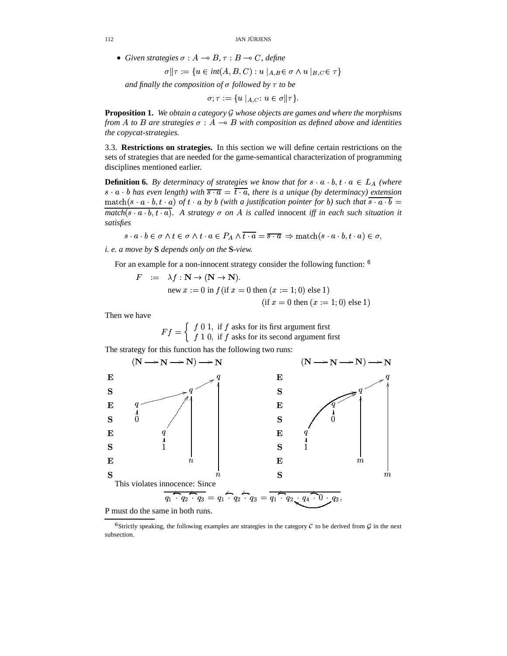• Given strategies  $\sigma : A \rightarrow B, \tau : B \rightarrow C$ , define  $\sigma\|\tau:=\{u\in int(A,B,C): u\mid_{A,B}\in \sigma \wedge u\mid_{B,C}\in \tau\}$ and finally the composition of  $\sigma$  followed by  $\tau$  to be

 $\sigma; \tau := \{ u \mid_{A,C}: u \in \sigma \| \tau \}.$ 

**Proposition 1.** We obtain a category  $\mathcal G$  whose objects are games and where the morphisms from A to B are strategies  $\sigma : A \rightarrow B$  with composition as defined above and identities the copycat-strategies.

3.3. Restrictions on strategies. In this section we will define certain restrictions on the sets of strategies that are needed for the game-semantical characterization of programming disciplines mentioned earlier.

**Definition 6.** By determinacy of strategies we know that for  $s \cdot a \cdot b$ ,  $t \cdot a \in L_A$  (where  $s \cdot a \cdot b$  has even length) with  $\overline{s \cdot a} = \overline{t \cdot a}$ , there is a unique (by determinacy) extension match(s  $\cdot$  a  $\cdot$  b, t  $\cdot$  a) of t  $\cdot$  a by b (with a justification pointer for b) such that  $\overline{s \cdot a \cdot b}$  = match(s  $\cdot$  a  $\cdot$  b, t  $\cdot$  a). A strategy  $\sigma$  on A is called innocent iff in each such situation it satisfies

 $s \cdot a \cdot b \in \sigma \wedge t \in \sigma \wedge t \cdot a \in P_A \wedge \overline{t \cdot a} = \overline{s \cdot a} \Rightarrow \text{match}(s \cdot a \cdot b, t \cdot a) \in \sigma$ 

i. e. a move by  $S$  depends only on the  $S$ -view.

For an example for a non-innocent strategy consider the following function: <sup>6</sup>

$$
F := \lambda f : \mathbf{N} \to (\mathbf{N} \to \mathbf{N}).
$$
  
new  $x := 0$  in  $f$  (if  $x = 0$  then  $(x := 1; 0)$  else 1)  
(if  $x = 0$  then  $(x := 1; 0)$  else 1)

Then we have

$$
Ff = \begin{cases} f \ 0 \ 1, & \text{if } f \text{ asks for its first argument first} \\ f \ 1 \ 0, & \text{if } f \text{ asks for its second argument first} \end{cases}
$$

The strategy for this function has the following two runs:



P must do the same in both runs.

<sup>6</sup>Strictly speaking, the following examples are strategies in the category  $\mathcal C$  to be derived from  $\mathcal G$  in the next subsection.

112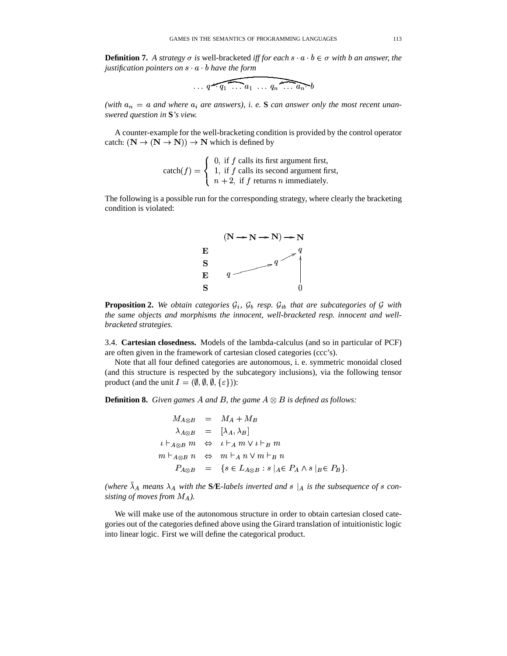**Definition 7.** A strategy  $\sigma$  is well-bracketed *iff for each*  $s \cdot a \cdot b \in \sigma$  *with b an answer,* the *justification pointers on*  $s \cdot a \cdot b$  *have the form* 

$$
\ldots q \underbrace{\bullet q_1 \cdots q_1 \cdots q_n \cdots q_n \cdots b}
$$

*(with*  $a_n = a$  *and* where  $a_i$  *are answers*), *i. e.* **S** *can answer only the most recent unanswered question in* **S***'s view.*

A counter-example for the well-bracketing condition is provided by the control operator catch:  $(N \to (N \to N)) \to N$  which is defined by

$$
catch(f) = \begin{cases} 0, if f calls its first argument first, \\ 1, if f calls its second argument first, \\ n+2, if f returns n immediately. \end{cases}
$$

The following is a possible run for the corresponding strategy, where clearly the bracketing condition is violated:



**Proposition 2.** We obtain categories  $G_i$ ,  $G_b$  resp.  $G_{ib}$  that are subcategories of G with *the same objects and morphisms the innocent, well-bracketed resp. innocent and wellbracketed strategies.*

3.4. **Cartesian closedness.** Models of the lambda-calculus (and so in particular of PCF) are often given in the framework of cartesian closed categories (ccc's).

Note that all four defined categories are autonomous, i. e. symmetric monoidal closed (and this structure is respected by the subcategory inclusions), via the following tensor product (and the unit  $I = (\emptyset, \emptyset, \emptyset, \{\varepsilon\})$ ):

**Definition 8.** *Given games*  $A$  *and*  $B$ *, the game*  $A \otimes B$  *is defined as follows:* 

$$
M_{A \otimes B} = M_A + M_B
$$
  
\n
$$
\lambda_{A \otimes B} = [\lambda_A, \lambda_B]
$$
  
\n
$$
\iota \vdash_{A \otimes B} m \Leftrightarrow \iota \vdash_A m \vee \iota \vdash_B m
$$
  
\n
$$
m \vdash_{A \otimes B} n \Leftrightarrow m \vdash_A n \vee m \vdash_B n
$$
  
\n
$$
P_{A \otimes B} = \{s \in L_{A \otimes B} : s \mid A \in P_A \wedge s \mid B \in P_B\}.
$$

*(where*  $\bar{\lambda}_A$  *means*  $\lambda_A$  *with the* **S/E**-labels inverted and s |A is the subsequence of s con*sisting of moves from*  $M_A$ ).

We will make use of the autonomous structure in order to obtain cartesian closed categories out of the categories defined above using the Girard translation of intuitionistic logic into linear logic. First we will define the categorical product.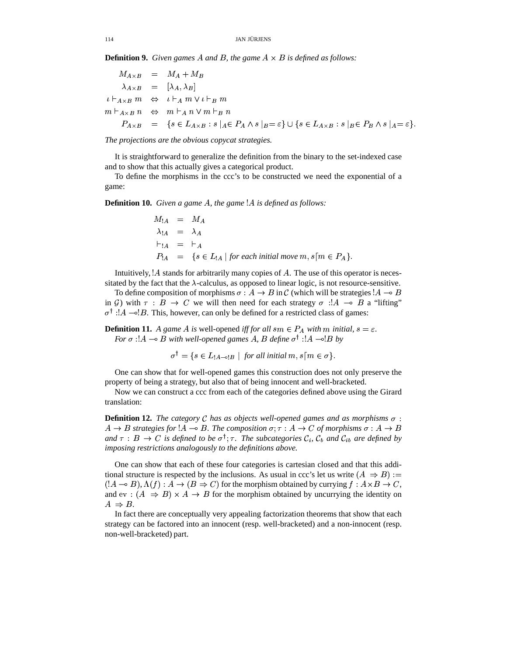**Definition 9.** *Given games*  $A$  *and*  $B$ *, the game*  $A \times B$  *is defined as follows:* 

$$
M_{A\times B} = M_A + M_B
$$
  
\n
$$
\lambda_{A\times B} = [\lambda_A, \lambda_B]
$$
  
\n
$$
\iota \vdash_{A\times B} m \Leftrightarrow \iota \vdash_A m \vee \iota \vdash_B m
$$
  
\n
$$
m \vdash_{A\times B} n \Leftrightarrow m \vdash_A n \vee m \vdash_B n
$$
  
\n
$$
P_{A\times B} = \{s \in L_{A\times B} : s \mid A \in P_A \wedge s \mid_B = \varepsilon\} \cup \{s \in L_{A\times B} : s \mid_B \in P_B \wedge s \mid_A = \varepsilon\}.
$$

*The projections are the obvious copycat strategies.*

It is straightforward to generalize the definition from the binary to the set-indexed case and to show that this actually gives a categorical product.

To define the morphisms in the ccc's to be constructed we need the exponential of a game:

**Definition 10.** *Given a game A, the game !A is defined as follows:* 

$$
M_{!A} = M_A
$$
  
\n
$$
\lambda_{!A} = \lambda_A
$$
  
\n
$$
\vdots
$$
  
\n
$$
P_{!A} = \{s \in L_{!A} \mid \text{for each initial move } m, s \{m \in P_A\}.
$$

Intuitively,  $A$  stands for arbitrarily many copies of  $A$ . The use of this operator is necessitated by the fact that the  $\lambda$ -calculus, as opposed to linear logic, is not resource-sensitive.

To define composition of morphisms  $\sigma: A \to B$  in C (which will be strategies  $A \to B$ in  $\mathcal G$ ) with  $\tau : B \to C$  we will then need for each strategy  $\sigma : A \to B$  a "lifting"  $\sigma^{\dagger}$  :!A  $\sim$ !B. This, however, can only be defined for a restricted class of games:

**Definition 11.** *A game A is well-opened iff for all*  $sm \in P_A$  *with*  $m$  *initial,*  $s = \varepsilon$ *. For*  $\sigma$  :  $A \rightarrow B$  *with well-opened games*  $A$ ,  $B$  *define*  $\sigma^{\dagger}$  :  $A \rightarrow B$  *by* 

 $\sigma^{\dagger} = \{s \in L_{A\rightarrow B} \mid \textit{for all initial } m, s \lceil m \in \sigma \}.$ 

One can show that for well-opened games this construction does not only preserve the property of being a strategy, but also that of being innocent and well-bracketed.

Now we can construct a ccc from each of the categories defined above using the Girard translation:

**Definition 12.** *The category*  $C$  *has as objects well-opened games and as morphisms*  $\sigma$ :  $A \rightarrow B$  strategies for  $!A \rightarrow B$ . The composition  $\sigma$ ;  $\tau : A \rightarrow C$  of morphisms  $\sigma : A \rightarrow B$ *and*  $\tau : B \to C$  *is defined to be*  $\sigma^{\dagger}; \tau$ . The *subcategories*  $\mathcal{C}_i$ ,  $\mathcal{C}_b$  *and*  $\mathcal{C}_{ib}$  *are defined by imposing restrictions analogously to the definitions above.*

One can show that each of these four categories is cartesian closed and that this additional structure is respected by the inclusions. As usual in ccc's let us write  $(A \Rightarrow B)$  :=  $(!A \rightarrow B), \Lambda(f) : A \rightarrow (B \Rightarrow C)$  for the morphism obtained by currying  $f : A \times B \rightarrow C$ , and ev :  $(A \Rightarrow B) \times A \rightarrow B$  for the morphism obtained by uncurrying the identity on  $A \Rightarrow B.$ 

In fact there are conceptually very appealing factorization theorems that show that each strategy can be factored into an innocent (resp. well-bracketed) and a non-innocent (resp. non-well-bracketed) part.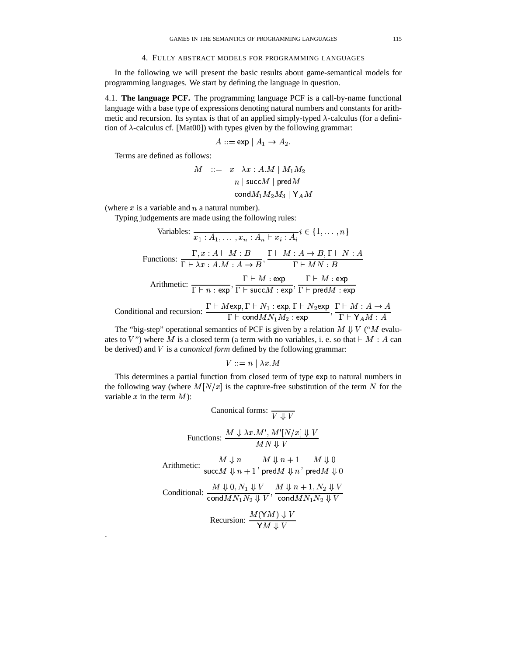### 4. FULLY ABSTRACT MODELS FOR PROGRAMMING LANGUAGES

In the following we will present the basic results about game-semantical models for programming languages. We start by defining the language in question.

4.1. The language PCF. The programming language PCF is a call-by-name functional language with a base type of expressions denoting natural numbers and constants for arithmetic and recursion. Its syntax is that of an applied simply-typed  $\lambda$ -calculus (for a definition of  $\lambda$ -calculus cf. [Mat00]) with types given by the following grammar:

$$
A ::= \mathsf{exp} \mid A_1 \to A_2.
$$

Terms are defined as follows:

$$
\begin{array}{lcl} M & ::= & x \mid \lambda x:A.M \mid M_1M_2 \\ & & \mid n \mid \mathsf{succ}M \mid \mathsf{pred}M \\ & & \mid \mathsf{cond}M_1M_2M_3 \mid \mathsf{Y}_AM \end{array}
$$

(where  $x$  is a variable and  $n$  a natural number).

Typing judgements are made using the following rules:

Variables: 
$$
\frac{\Gamma, x:A \vdash M : A_1, \ldots, x_n:A_n \vdash x_i:A_i}{\Gamma \vdash \lambda x:A.M : A \rightarrow B}, \frac{\Gamma \vdash M : A \rightarrow B, \Gamma \vdash N : A}{\Gamma \vdash MN : B}
$$
  
Furthermore: 
$$
\frac{\Gamma, x:A \vdash M : B}{\Gamma \vdash n : \exp}, \frac{\Gamma \vdash M : \exp}{\Gamma \vdash \text{succ}M : \exp}, \frac{\Gamma \vdash M : \exp}{\Gamma \vdash \text{pred}M : \exp}
$$
  
Conditional and recursion: 
$$
\frac{\Gamma \vdash M \exp, \Gamma \vdash N_1 : \exp, \Gamma \vdash N_2 \exp}{\Gamma \vdash \text{cond}MN_1M_2 : \exp}, \frac{\Gamma \vdash M : A \rightarrow A}{\Gamma \vdash Y_AM : A}
$$

The "big-step" operational semantics of PCF is given by a relation  $M \Downarrow V$  ("M evaluates to V") where M is a closed term (a term with no variables, i. e. so that  $\vdash M : A$  can be derived) and  $V$  is a *canonical form* defined by the following grammar:

$$
V ::= n \mid \lambda x.M
$$

This determines a partial function from closed term of type exp to natural numbers in the following way (where  $M[N/x]$  is the capture-free substitution of the term N for the variable  $x$  in the term  $M$ ):

canonical forms: 
$$
\frac{W \Downarrow \lambda x.M', M'[N/x] \Downarrow V}{M N \Downarrow V}
$$

\nFurthermore:  $\frac{M \Downarrow n}{M N \Downarrow V}$ 

\nArithmetic:  $\frac{M \Downarrow n}{\text{succ}M \Downarrow n+1}$ ,  $\frac{M \Downarrow n+1}{\text{pred}M \Downarrow n}$ ,  $\frac{M \Downarrow 0}{\text{pred}M \Downarrow 0}$ 

\nConditional:  $\frac{M \Downarrow 0, N_1 \Downarrow V}{\text{cond}M N_1 N_2 \Downarrow V}$ ,  $\frac{M \Downarrow n+1, N_2 \Downarrow V}{\text{cond}M N_1 N_2 \Downarrow V}$ 

\nRecursion:  $\frac{M(\text{Y}M) \Downarrow V}{\text{Y}M \Downarrow V}$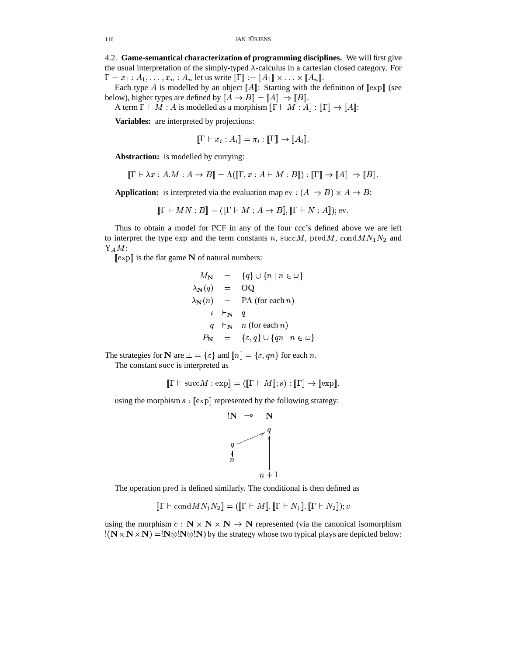4.2. Game-semantical characterization of programming disciplines. We will first give the usual interpretation of the simply-typed  $\lambda$ -calculus in a cartesian closed category. For  $\Gamma = x_1 : A_1, \ldots, x_n : A_n$  let us write  $\llbracket \Gamma \rrbracket := \llbracket A_1 \rrbracket \times \ldots \times \llbracket A_n \rrbracket$ .

Each type A is modelled by an object  $[[A]]$ : Starting with the definition of  $[[exp]]$  (see below), higher types are defined by  $[A \rightarrow B] = [A] \Rightarrow [B]$ .

A term  $\Gamma \vdash M : A$  is modelled as a morphism  $[\![\Gamma \vdash M : A]\!] : [\![\Gamma]\!] \rightarrow [\![A]\!]$ :

Variables: are interpreted by projections:

$$
\llbracket \Gamma \vdash x_i : A_i \rrbracket = \pi_i : \llbracket \Gamma \rrbracket \rightarrow \llbracket A_i \rrbracket
$$

**Abstraction:** is modelled by currying:

$$
\llbracket \Gamma \vdash \lambda x : A.M : A \to B \rrbracket = \Lambda(\llbracket \Gamma, x : A \vdash M : B \rrbracket) : \llbracket \Gamma \rrbracket \to \llbracket A \rrbracket \Rightarrow \llbracket B \rrbracket.
$$

**Application:** is interpreted via the evaluation map ev :  $(A \Rightarrow B) \times A \rightarrow B$ :

$$
[\![\Gamma \vdash MN : B]\!] = ([\![\Gamma \vdash M : A \to B]\!], [\![\Gamma \vdash N : A]\!]);
$$

Thus to obtain a model for PCF in any of the four ccc's defined above we are left to interpret the type exp and the term constants n, succM, predM, cond $MN_1N_2$  and  $Y_A M$ :

 $\llbracket \exp \rrbracket$  is the flat game N of natural numbers:

$$
M_{\mathbf{N}} = \{q\} \cup \{n \mid n \in \omega\}
$$
  
\n
$$
\lambda_{\mathbf{N}}(q) = \mathbf{O}Q
$$
  
\n
$$
\lambda_{\mathbf{N}}(n) = \mathbf{P}A \text{ (for each } n)
$$
  
\n
$$
\iota \vdash_{\mathbf{N}} q
$$
  
\n
$$
q \vdash_{\mathbf{N}} n \text{ (for each } n)
$$
  
\n
$$
P_{\mathbf{N}} = \{\varepsilon, q\} \cup \{qn \mid n \in \omega\}
$$

The strategies for N are  $\bot = {\varepsilon}$  and  ${\lbrack n \rbrack} = {\varepsilon}, qn$  for each n. The constant succ is interpreted as

$$
\llbracket \Gamma \vdash \text{succ} M : \text{exp} \rrbracket = (\llbracket \Gamma \vdash M \rrbracket; s) : \llbracket \Gamma \rrbracket \to \llbracket \text{exp} \rrbracket.
$$

using the morphism  $s : \llbracket \exp \rrbracket$  represented by the following strategy:



The operation pred is defined similarly. The conditional is then defined as

$$
[\![\Gamma \vdash \text{cond} MN_1N_2]\!] = ([\![\Gamma \vdash M]\!], [\![\Gamma \vdash N_1]\!], [\![\Gamma \vdash N_2]\!]); c
$$

using the morphism  $c : \mathbb{N} \times \mathbb{N} \times \mathbb{N} \to \mathbb{N}$  represented (via the canonical isomorphism  $!(N \times N \times N) = !N \otimes !N \otimes !N)$  by the strategy whose two typical plays are depicted below: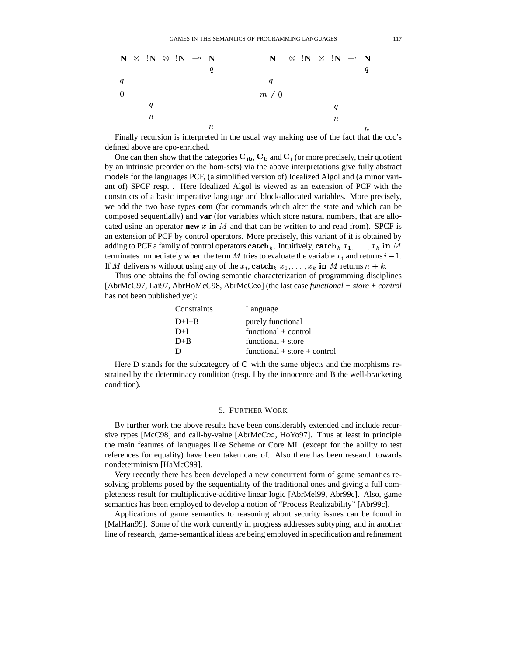

Finally recursion is interpreted in the usual way making use of the fact that the ccc's defined above are cpo-enriched.

One can then show that the categories  $C_{ib}$ ,  $C_b$  and  $C_i$  (or more precisely, their quotient by an intrinsic preorder on the hom-sets) via the above interpretations give fully abstract models for the languages PCF, (a simplified version of) Idealized Algol and (a minor variant of) SPCF resp. . Here Idealized Algol is viewed as an extension of PCF with the constructs of a basic imperative language and block-allocated variables. More precisely, we add the two base types **com** (for commands which alter the state and which can be composed sequentially) and **var** (for variables which store natural numbers, that are allocated using an operator **new**  $x$  in  $M$  and that can be written to and read from). SPCF is an extension of PCF by control operators. More precisely, this variant of it is obtained by adding to PCF a family of control operators  $\mathbf{catch}_k$ . Intuitively,  $\mathbf{catch}_k$ ,  $x_1, \ldots, x_k$  in M terminates immediately when the term M tries to evaluate the variable  $x_i$  and returns  $i-1$ . If M delivers n without using any of the  $x_i$ , catch<sub>k</sub>  $x_1, \ldots, x_k$  in M returns  $n + k$ .

Thus one obtains the following semantic characterization of programming disciplines  $[AbrMcC97, Lai97, AbrHoMcC98, AbrMcC\infty]$  (the last case *functional* + *store* + *control* has not been published yet):

| Constraints  | Language                         |
|--------------|----------------------------------|
| $D+I+B$      | purely functional                |
| $D+I$        | functional $+$ control           |
| $D+B$        | functional $+$ store             |
| $\mathbf{D}$ | functional $+$ store $+$ control |

Here D stands for the subcategory of  $C$  with the same objects and the morphisms restrained by the determinacy condition (resp. I by the innocence and B the well-bracketing condition).

#### 5. FURTHER WORK

By further work the above results have been considerably extended and include recursive types [McC98] and call-by-value [AbrMcC $\infty$ , HoYo97]. Thus at least in principle the main features of languages like Scheme or Core ML (except for the ability to test references for equality) have been taken care of. Also there has been research towards nondeterminism [HaMcC99].

Very recently there has been developed a new concurrent form of game semantics resolving problems posed by the sequentiality of the traditional ones and giving a full completeness result for multiplicative-additive linear logic [AbrMel99, Abr99c]. Also, game semantics has been employed to develop a notion of "Process Realizability" [Abr99c].

Applications of game semantics to reasoning about security issues can be found in [MalHan99]. Some of the work currently in progress addresses subtyping, and in another line of research, game-semantical ideas are being employed in specification and refinement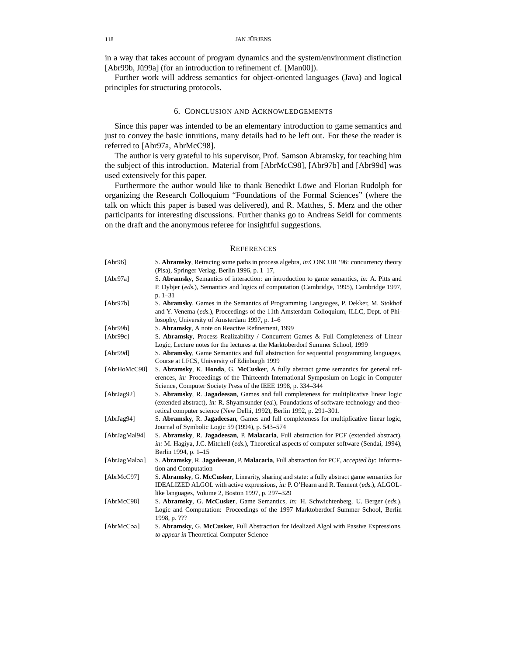in a way that takes account of program dynamics and the system/environment distinction [Abr99b, Jü99a] (for an introduction to refinement cf. [Man00]).

Further work will address semantics for object-oriented languages (Java) and logical principles for structuring protocols.

#### 6. CONCLUSION AND ACKNOWLEDGEMENTS

Since this paper was intended to be an elementary introduction to game semantics and just to convey the basic intuitions, many details had to be left out. For these the reader is referred to [Abr97a, AbrMcC98].

The author is very grateful to his supervisor, Prof. Samson Abramsky, for teaching him the subject of this introduction. Material from [AbrMcC98], [Abr97b] and [Abr99d] was used extensively for this paper.

Furthermore the author would like to thank Benedikt Löwe and Florian Rudolph for organizing the Research Colloquium "Foundations of the Formal Sciences" (where the talk on which this paper is based was delivered), and R. Matthes, S. Merz and the other participants for interesting discussions. Further thanks go to Andreas Seidl for comments on the draft and the anonymous referee for insightful suggestions.

#### **REFERENCES**

| [Abr96]               | S. Abramsky, Retracing some paths in process algebra, in: CONCUR '96: concurrency theory      |
|-----------------------|-----------------------------------------------------------------------------------------------|
|                       | (Pisa), Springer Verlag, Berlin 1996, p. 1–17,                                                |
| [Abr97a]              | S. Abramsky, Semantics of interaction: an introduction to game semantics, in: A. Pitts and    |
|                       | P. Dybjer (eds.), Semantics and logics of computation (Cambridge, 1995), Cambridge 1997,      |
|                       | $p. 1 - 31$                                                                                   |
| [Abr97b]              | S. Abramsky, Games in the Semantics of Programming Languages, P. Dekker, M. Stokhof           |
|                       | and Y. Venema (eds.), Proceedings of the 11th Amsterdam Colloquium, ILLC, Dept. of Phi-       |
|                       | losophy, University of Amsterdam 1997, p. 1-6                                                 |
| [Abr99b]              | S. Abramsky, A note on Reactive Refinement, 1999                                              |
| [Abr99c]              | S. Abramsky, Process Realizability / Concurrent Games & Full Completeness of Linear           |
|                       | Logic, Lecture notes for the lectures at the Marktoberdorf Summer School, 1999                |
| [Abr99d]              | S. Abramsky, Game Semantics and full abstraction for sequential programming languages,        |
|                       | Course at LFCS, University of Edinburgh 1999                                                  |
| [AbrHoMcC98]          | S. Abramsky, K. Honda, G. McCusker, A fully abstract game semantics for general ref-          |
|                       | erences, in: Proceedings of the Thirteenth International Symposium on Logic in Computer       |
|                       | Science, Computer Society Press of the IEEE 1998, p. 334–344                                  |
| [AbrJag92]            | S. Abramsky, R. Jagadeesan, Games and full completeness for multiplicative linear logic       |
|                       | (extended abstract), in: R. Shyamsunder (ed.), Foundations of software technology and theo-   |
|                       | retical computer science (New Delhi, 1992), Berlin 1992, p. 291-301.                          |
| [AbrJag94]            | S. Abramsky, R. Jagadeesan, Games and full completeness for multiplicative linear logic,      |
|                       | Journal of Symbolic Logic 59 (1994), p. 543–574                                               |
| [AbrJagMal94]         | S. Abramsky, R. Jagadeesan, P. Malacaria, Full abstraction for PCF (extended abstract),       |
|                       | in: M. Hagiya, J.C. Mitchell (eds.), Theoretical aspects of computer software (Sendai, 1994), |
|                       | Berlin 1994, p. 1-15                                                                          |
| [AbrJagMal $\infty$ ] | S. Abramsky, R. Jagadeesan, P. Malacaria, Full abstraction for PCF, accepted by: Informa-     |
|                       | tion and Computation                                                                          |
| [AbrMcC97]            | S. Abramsky, G. McCusker, Linearity, sharing and state: a fully abstract game semantics for   |
|                       | IDEALIZED ALGOL with active expressions, in: P. O'Hearn and R. Tennent (eds.), ALGOL-         |
|                       | like languages, Volume 2, Boston 1997, p. 297–329                                             |
| [AbrMcC98]            | S. Abramsky, G. McCusker, Game Semantics, in: H. Schwichtenberg, U. Berger (eds.),            |
|                       | Logic and Computation: Proceedings of the 1997 Marktoberdorf Summer School, Berlin            |
|                       | 1998, p. ???                                                                                  |
| [AbrMcC $\infty$ ]    | S. Abramsky, G. McCusker, Full Abstraction for Idealized Algol with Passive Expressions,      |
|                       | to appear in Theoretical Computer Science                                                     |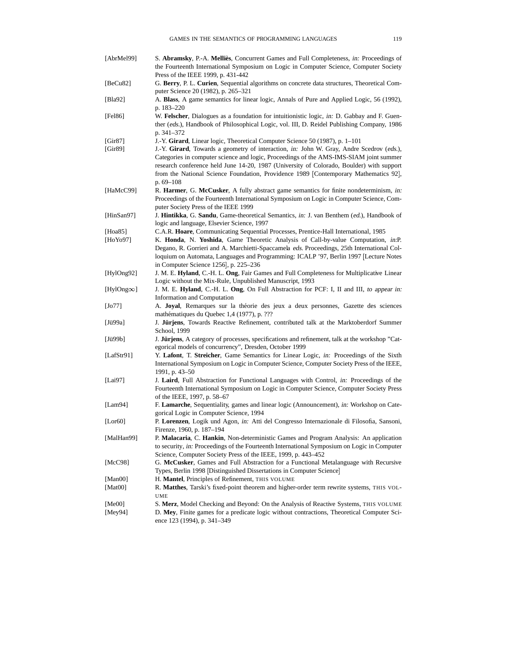| [AbrMel99]          | S. Abramsky, P.-A. Melliès, Concurrent Games and Full Completeness, in: Proceedings of<br>the Fourteenth International Symposium on Logic in Computer Science, Computer Society<br>Press of the IEEE 1999, p. 431-442                                                                                                                                                                                                                                                 |
|---------------------|-----------------------------------------------------------------------------------------------------------------------------------------------------------------------------------------------------------------------------------------------------------------------------------------------------------------------------------------------------------------------------------------------------------------------------------------------------------------------|
| [BeCu82]            | G. Berry, P. L. Curien, Sequential algorithms on concrete data structures, Theoretical Com-<br>puter Science 20 (1982), p. 265-321                                                                                                                                                                                                                                                                                                                                    |
| [Bla92]             | A. Blass, A game semantics for linear logic, Annals of Pure and Applied Logic, 56 (1992),<br>p. 183–220                                                                                                                                                                                                                                                                                                                                                               |
| [Fel86]             | W. Felscher, Dialogues as a foundation for intuitionistic logic, in: D. Gabbay and F. Guen-<br>ther (eds.), Handbook of Philosophical Logic, vol. III, D. Reidel Publishing Company, 1986<br>p. 341–372                                                                                                                                                                                                                                                               |
| [Gir87]<br>[Gir89]  | J.-Y. Girard, Linear logic, Theoretical Computer Science 50 (1987), p. 1-101<br>J.-Y. Girard, Towards a geometry of interaction, in: John W. Gray, Andre Scedrov (eds.),<br>Categories in computer science and logic, Proceedings of the AMS-IMS-SIAM joint summer<br>research conference held June 14-20, 1987 (University of Colorado, Boulder) with support<br>from the National Science Foundation, Providence 1989 [Contemporary Mathematics 92],<br>p. $69-108$ |
| [HaMcC99]           | R. Harmer, G. McCusker, A fully abstract game semantics for finite nondeterminism, in:<br>Proceedings of the Fourteenth International Symposium on Logic in Computer Science, Com-<br>puter Society Press of the IEEE 1999                                                                                                                                                                                                                                            |
| [HinSan97]          | J. Hintikka, G. Sandu, Game-theoretical Semantics, in: J. van Benthem (ed.), Handbook of<br>logic and language, Elsevier Science, 1997                                                                                                                                                                                                                                                                                                                                |
| [Hoa85]<br>[HoYo97] | C.A.R. Hoare, Communicating Sequential Processes, Prentice-Hall International, 1985<br>K. Honda, N. Yoshida, Game Theoretic Analysis of Call-by-value Computation, in:P.<br>Degano, R. Gorrieri and A. Marchietti-Spaccamela eds. Proceedings, 25th International Col-<br>loquium on Automata, Languages and Programming: ICALP '97, Berlin 1997 [Lecture Notes<br>in Computer Science 1256, p. 225–236                                                               |
| [HylOng92]          | J. M. E. Hyland, C.-H. L. Ong, Fair Games and Full Completeness for Multiplicative Linear<br>Logic without the Mix-Rule, Unpublished Manuscript, 1993                                                                                                                                                                                                                                                                                                                 |
| [HylOng $\infty$ ]  | J. M. E. Hyland, C.-H. L. Ong, On Full Abstraction for PCF: I, II and III, to appear in:<br><b>Information and Computation</b>                                                                                                                                                                                                                                                                                                                                        |
| [Jo77]              | A. Joyal, Remarques sur la théorie des jeux a deux personnes, Gazette des sciences                                                                                                                                                                                                                                                                                                                                                                                    |
| [Jü99a]             | mathématiques du Quebec 1,4 (1977), p. ???<br>J. Jürjens, Towards Reactive Refinement, contributed talk at the Marktoberdorf Summer<br>School, 1999                                                                                                                                                                                                                                                                                                                   |
| [Jü99b]             | J. Jürjens, A category of processes, specifications and refinement, talk at the workshop "Cat-<br>egorical models of concurrency", Dresden, October 1999                                                                                                                                                                                                                                                                                                              |
| [Laf $Str91$ ]      | Y. Lafont, T. Streicher, Game Semantics for Linear Logic, in: Proceedings of the Sixth<br>International Symposium on Logic in Computer Science, Computer Society Press of the IEEE,<br>1991, p. 43-50                                                                                                                                                                                                                                                                 |
| [Lai $97$ ]         | J. Laird, Full Abstraction for Functional Languages with Control, in: Proceedings of the<br>Fourteenth International Symposium on Logic in Computer Science, Computer Society Press<br>of the IEEE, 1997, p. 58–67                                                                                                                                                                                                                                                    |
| [Lam94]             | F. Lamarche, Sequentiality, games and linear logic (Announcement), in: Workshop on Cate-<br>gorical Logic in Computer Science, 1994                                                                                                                                                                                                                                                                                                                                   |
| [Lor60]             | P. Lorenzen, Logik und Agon, in: Atti del Congresso Internazionale di Filosofia, Sansoni,<br>Firenze, 1960, p. 187-194                                                                                                                                                                                                                                                                                                                                                |
| [MalHan99]          | P. <b>Malacaria, C. Hankin,</b> Non-deterministic Games and Program Analysis: An application<br>to security, in: Proceedings of the Fourteenth International Symposium on Logic in Computer<br>Science, Computer Society Press of the IEEE, 1999, p. 443–452                                                                                                                                                                                                          |
| [McC98]             | G. McCusker, Games and Full Abstraction for a Functional Metalanguage with Recursive<br>Types, Berlin 1998 Distinguished Dissertations in Computer Science                                                                                                                                                                                                                                                                                                            |
| [Man00]             | H. Mantel, Principles of Refinement, THIS VOLUME                                                                                                                                                                                                                                                                                                                                                                                                                      |
| [Mat00]             | R. Matthes, Tarski's fixed-point theorem and higher-order term rewrite systems, THIS VOL-<br>UME                                                                                                                                                                                                                                                                                                                                                                      |
| [Me00]              | S. Merz, Model Checking and Beyond: On the Analysis of Reactive Systems, THIS VOLUME                                                                                                                                                                                                                                                                                                                                                                                  |
| [Mey94]             | D. Mey, Finite games for a predicate logic without contractions, Theoretical Computer Sci-<br>ence 123 (1994), p. 341-349                                                                                                                                                                                                                                                                                                                                             |